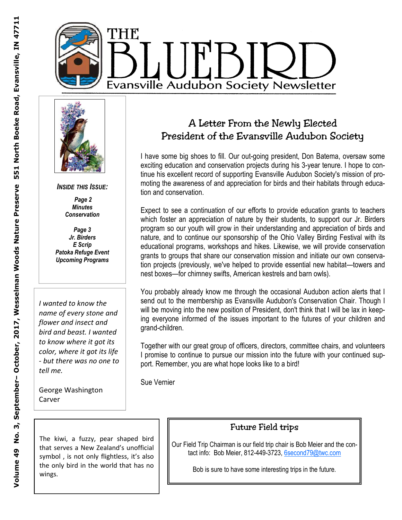



*INSIDE THIS ISSUE:* 

 *Page 2 Minutes Conservation* 

*Page 3 Jr. Birders E Scrip Patoka Refuge Event Upcoming Programs* 

*I wanted to know the name of every stone and flower and insect and bird and beast. I wanted to know where it got its color, where it got its life - but there was no one to tell me.* 

George Washington Carver

The kiwi, a fuzzy, pear shaped bird that serves a New Zealand's unofficial symbol, is not only flightless, it's also the only bird in the world that has no wings.

# A Letter From the Newly Elected President of the Evansville Audubon Society

I have some big shoes to fill. Our out-going president, Don Batema, oversaw some exciting education and conservation projects during his 3-year tenure. I hope to continue his excellent record of supporting Evansville Audubon Society's mission of promoting the awareness of and appreciation for birds and their habitats through education and conservation.

Expect to see a continuation of our efforts to provide education grants to teachers which foster an appreciation of nature by their students, to support our Jr. Birders program so our youth will grow in their understanding and appreciation of birds and nature, and to continue our sponsorship of the Ohio Valley Birding Festival with its educational programs, workshops and hikes. Likewise, we will provide conservation grants to groups that share our conservation mission and initiate our own conservation projects (previously, we've helped to provide essential new habitat—towers and nest boxes—for chimney swifts, American kestrels and barn owls).

You probably already know me through the occasional Audubon action alerts that I send out to the membership as Evansville Audubon's Conservation Chair. Though I will be moving into the new position of President, don't think that I will be lax in keeping everyone informed of the issues important to the futures of your children and grand-children.

Together with our great group of officers, directors, committee chairs, and volunteers I promise to continue to pursue our mission into the future with your continued support. Remember, you are what hope looks like to a bird!

Sue Vernier

### Future Field trips

Our Field Trip Chairman is our field trip chair is Bob Meier and the contact info: Bob Meier, 812-449-3723, 6second79@twc.com

Bob is sure to have some interesting trips in the future.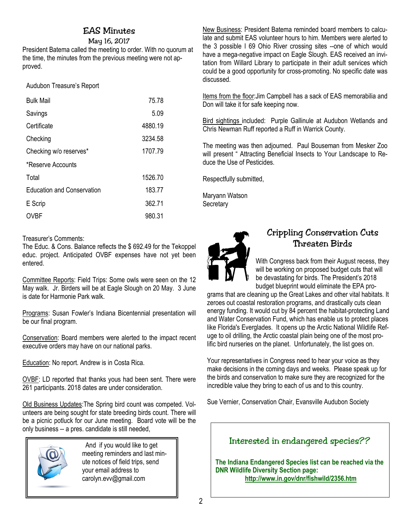### EAS Minutes

May 16, 2017

President Batema called the meeting to order. With no quorum at the time, the minutes from the previous meeting were not approved. İ

Audubon Treasure's Report

| <b>Bulk Mail</b>                  | 75.78   |
|-----------------------------------|---------|
| Savings                           | 5.09    |
| Certificate                       | 4880.19 |
| Checking                          | 3234.58 |
| Checking w/o reserves*            | 1707.79 |
| *Reserve Accounts                 |         |
| Total                             | 1526.70 |
| <b>Education and Conservation</b> | 183.77  |
| E Scrip                           | 362.71  |
| OVBF                              | 980.31  |

Treasurer's Comments:

The Educ. & Cons. Balance reflects the \$ 692.49 for the Tekoppel educ. project. Anticipated OVBF expenses have not yet been entered.

Committee Reports: Field Trips: Some owls were seen on the 12 May walk. Jr. Birders will be at Eagle Slough on 20 May. 3 June is date for Harmonie Park walk.

Programs: Susan Fowler's Indiana Bicentennial presentation will be our final program.

Conservation: Board members were alerted to the impact recent executive orders may have on our national parks.

Education: No report. Andrew is in Costa Rica.

OVBF: LD reported that thanks yous had been sent. There were 261 participants. 2018 dates are under consideration.

Old Business Updates:The Spring bird count was competed. Volunteers are being sought for state breeding birds count. There will be a picnic potluck for our June meeting. Board vote will be the only business -- a pres. candidate is still needed,



And if you would like to get meeting reminders and last minute notices of field trips, send your email address to carolyn.evv@gmail.com

New Business: President Batema reminded board members to calculate and submit EAS volunteer hours to him. Members were alerted to the 3 possible I 69 Ohio River crossing sites --one of which would have a mega-negative impact on Eagle Slough. EAS received an invitation from Willard Library to participate in their adult services which could be a good opportunity for cross-promoting. No specific date was discussed.

Items from the floor:Jim Campbell has a sack of EAS memorabilia and Don will take it for safe keeping now.

Bird sightings included: Purple Gallinule at Audubon Wetlands and Chris Newman Ruff reported a Ruff in Warrick County.

The meeting was then adjourned. Paul Bouseman from Mesker Zoo will present " Attracting Beneficial Insects to Your Landscape to Reduce the Use of Pesticides.

Respectfully submitted,

Maryann Watson **Secretary** 



## Crippling Conservation Cuts Threaten Birds

With Congress back from their August recess, they will be working on proposed budget cuts that will be devastating for birds. The President's 2018 budget blueprint would eliminate the EPA pro-

grams that are cleaning up the Great Lakes and other vital habitats. It zeroes out coastal restoration programs, and drastically cuts clean energy funding. It would cut by 84 percent the habitat-protecting Land and Water Conservation Fund, which has enable us to protect places like Florida's Everglades. It opens up the Arctic National Wildlife Refuge to oil drilling, the Arctic coastal plain being one of the most prolific bird nurseries on the planet. Unfortunately, the list goes on.

Your representatives in Congress need to hear your voice as they make decisions in the coming days and weeks. Please speak up for the birds and conservation to make sure they are recognized for the incredible value they bring to each of us and to this country.

Sue Vernier, Conservation Chair, Evansville Audubon Society

## Interested in endangered species??

**The Indiana Endangered Species list can be reached via the DNR Wildlife Diversity Section page: http://www.in.gov/dnr/fishwild/2356.htm**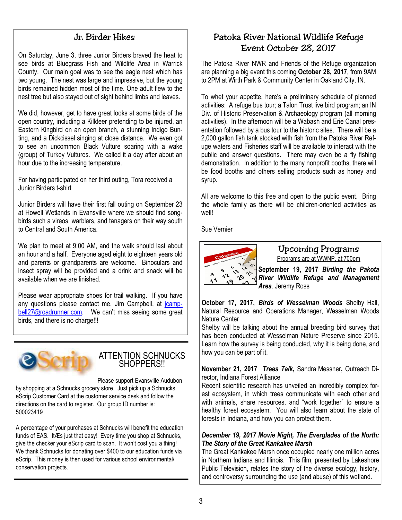### Jr. Birder Hikes

On Saturday, June 3, three Junior Birders braved the heat to see birds at Bluegrass Fish and Wildlife Area in Warrick County. Our main goal was to see the eagle nest which has two young. The nest was large and impressive, but the young birds remained hidden most of the time. One adult flew to the nest tree but also stayed out of sight behind limbs and leaves.

We did, however, get to have great looks at some birds of the open country, including a Killdeer pretending to be injured, an Eastern Kingbird on an open branch, a stunning Indigo Bunting, and a Dickcissel singing at close distance. We even got to see an uncommon Black Vulture soaring with a wake (group) of Turkey Vultures. We called it a day after about an hour due to the increasing temperature.

For having participated on her third outing, Tora received a Junior Birders t-shirt

Junior Birders will have their first fall outing on September 23 at Howell Wetlands in Evansville where we should find songbirds such a vireos, warblers, and tanagers on their way south to Central and South America.

We plan to meet at 9:00 AM, and the walk should last about an hour and a half. Everyone aged eight to eighteen years old and parents or grandparents are welcome. Binoculars and insect spray will be provided and a drink and snack will be available when we are finished.

Please wear appropriate shoes for trail walking. If you have any questions please contact me, Jim Campbell, at joampbell27@roadrunner.com. We can't miss seeing some great birds, and there is no charge!!!



#### ATTENTION SCHNUCKS SHOPPERS!!

Please support Evansville Audubon by shopping at a Schnucks grocery store. Just pick up a Schnucks eScrip Customer Card at the customer service desk and follow the directions on the card to register. Our group ID number is: 500023419

A percentage of your purchases at Schnucks will benefit the education funds of EAS. ItÆs just that easy! Every time you shop at Schnucks, give the checker your eScrip card to scan. It won't cost you a thing! We thank Schnucks for donating over \$400 to our education funds via eScrip. This money is then used for various school environmental/ conservation projects.

## Patoka River National Wildlife Refuge Event October 28, 2017

The Patoka River NWR and Friends of the Refuge organization are planning a big event this coming **October 28, 2017**, from 9AM to 2PM at Wirth Park & Community Center in Oakland City, IN.

To whet your appetite, here's a preliminary schedule of planned activities: A refuge bus tour; a Talon Trust live bird program; an IN Div. of Historic Preservation & Archaeology program (all morning activities). In the afternoon will be a Wabash and Erie Canal presentation followed by a bus tour to the historic sites. There will be a 2,000 gallon fish tank stocked with fish from the Patoka River Refuge waters and Fisheries staff will be available to interact with the public and answer questions. There may even be a fly fishing demonstration. In addition to the many nonprofit booths, there will be food booths and others selling products such as honey and syrup.

All are welcome to this free and open to the public event. Bring the whole family as there will be children-oriented activities as well!

Sue Vernier



Upcoming Programs Programs are at WWNP, at:700pm

**September 19, 2017** *Birding the Pakota*  **River Beptember 19, 2017** *Birding the Pakota***<br>Kep***liver Wildlife Refuge and Management Area,* Jeremy Ross

**October 17, 2017,** *Birds of Wesselman Woods* Shelby Hall, Natural Resource and Operations Manager, Wesselman Woods Nature Center

Shelby will be talking about the annual breeding bird survey that has been conducted at Wesselman Nature Preserve since 2015. Learn how the survey is being conducted, why it is being done, and how you can be part of it.

**November 21, 2017** *Trees Talk***,** Sandra Messner**,** Outreach Director, Indiana Forest Alliance

Recent scientific research has unveiled an incredibly complex forest ecosystem, in which trees communicate with each other and with animals, share resources, and "work together" to ensure a healthy forest ecosystem. You will also learn about the state of forests in Indiana, and how you can protect them.

#### *December 19, 2017 Movie Night, The Everglades of the North: The Story of the Great Kankakee Marsh*

The Great Kankakee Marsh once occupied nearly one million acres in Northern Indiana and Illinois. This film, presented by Lakeshore Public Television, relates the story of the diverse ecology, history, and controversy surrounding the use (and abuse) of this wetland.